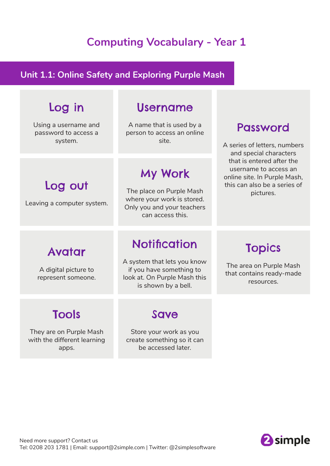### **Computing Vocabulary - Year 1**

#### **Unit 1.1: Online Safety and Exploring Purple Mash**

## Log in

Using a username and password to access a system.

Log out

Leaving a computer system.

### Username

A name that is used by a person to access an online site.

### My Work

The place on Purple Mash where your work is stored. Only you and your teachers can access this.

### Password

A series of letters, numbers and special characters that is entered after the username to access an online site. In Purple Mash, this can also be a series of pictures.

### Avatar

A digital picture to represent someone.

## Tools

They are on Purple Mash with the different learning apps.

### **Notification**

A system that lets you know if you have something to look at. On Purple Mash this is shown by a bell.

### Save

Store your work as you create something so it can be accessed later.

### Topics

The area on Purple Mash that contains ready-made resources.

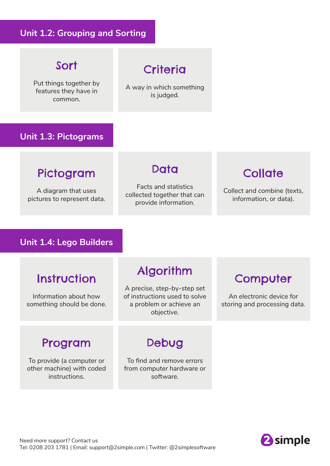### **Unit 1.2: Grouping and Sorting**

### Sort

Put things together by features they have in common.

# **Criteria**

A way in which something is judged.

#### **Unit 1.3: Pictograms**

### Pictogram

A diagram that uses pictures to represent data.

#### Data

Facts and statistics collected together that can provide information.

### **Collate**

Collect and combine (texts, information, or data).

#### **Unit 1.4: Lego Builders**

### **Instruction**

Information about how something should be done.

### Algorithm

A precise, step-by-step set of instructions used to solve a problem or achieve an objective.

### **Computer**

An electronic device for storing and processing data.

### Program

To provide (a computer or other machine) with coded instructions.

### Debug

To find and remove errors from computer hardware or software.

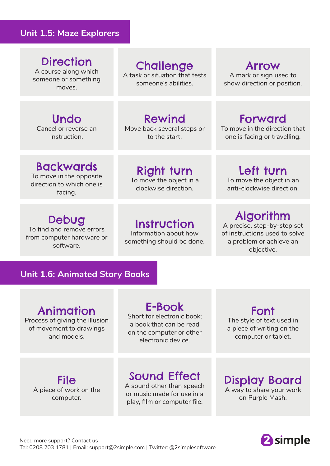#### **Unit 1.5: Maze Explorers**

### **Direction**

A course along which someone or something moves.

## Challenge

A task or situation that tests someone's abilities.

#### Arrow A mark or sign used to show direction or position.

#### Undo Cancel or reverse an instruction.

Rewind

Move back several steps or to the start.

### Forward

To move in the direction that one is facing or travelling.

### Backwards

To move in the opposite direction to which one is facing.

#### Right turn To move the object in a

clockwise direction.

### Debug

To find and remove errors from computer hardware or software.

### **Instruction**

Information about how something should be done.

# Left turn

To move the object in an anti-clockwise direction.

### Algorithm

A precise, step-by-step set of instructions used to solve a problem or achieve an objective.

#### **Unit 1.6: Animated Story Books**

### Animation

Process of giving the illusion of movement to drawings and models.

### E-Book

Short for electronic book; a book that can be read on the computer or other electronic device.

Font

The style of text used in a piece of writing on the computer or tablet.

File A piece of work on the computer.

Sound Effect

A sound other than speech or music made for use in a play, film or computer file.

Display Board A way to share your work on Purple Mash.

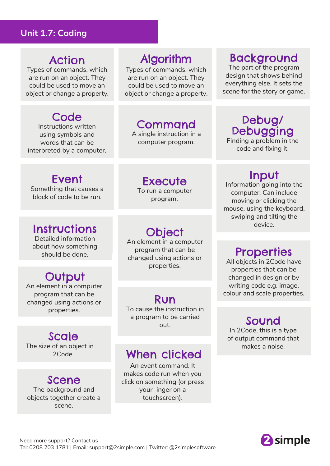#### **Unit 1.7: Coding**

### Action

Types of commands, which are run on an object. They could be used to move an object or change a property.

### **Code**

Instructions written using symbols and words that can be interpreted by a computer.

### Algorithm

Types of commands, which are run on an object. They could be used to move an object or change a property.

### Command

A single instruction in a computer program.

### Background

The part of the program design that shows behind everything else. It sets the scene for the story or game.

### Debug/ Debugging

Finding a problem in the code and fixing it.

### Event

Something that causes a block of code to be run.

### **Instructions**

Detailed information about how something should be done.

# **Output**

An element in a computer program that can be changed using actions or properties.

## Scale

The size of an object in 2Code.

### Scene The background and

objects together create a scene.

**Execute** To run a computer

program.

**Object** 

An element in a computer program that can be changed using actions or properties.

### Run

To cause the instruction in a program to be carried

### When clicked

An event command. It makes code run when you click on something (or press your inger on a touchscreen).

### Input

Information going into the computer. Can include moving or clicking the mouse, using the keyboard, swiping and tilting the device.

### **Properties**

All objects in 2Code have properties that can be changed in design or by writing code e.g. image, colour and scale properties.

out. Sound In 2Code, this is a type of output command that makes a noise.